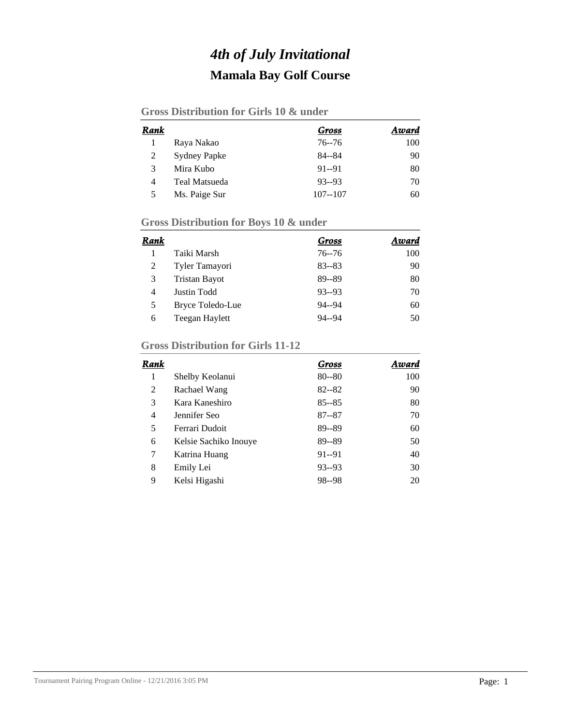## *4th of July Invitational* **Mamala Bay Golf Course**

#### **Gross Distribution for Girls 10 & under**

| Rank |                     | Gross       | Award |
|------|---------------------|-------------|-------|
|      | Raya Nakao          | $76 - 76$   | 100   |
| 2    | <b>Sydney Papke</b> | 84--84      | 90    |
| 3    | Mira Kubo           | $91 - 91$   | 80    |
| 4    | Teal Matsueda       | $93 - 93$   | 70    |
| 5    | Ms. Paige Sur       | $107 - 107$ | 60    |

### **Gross Distribution for Boys 10 & under**

| Rank |                      | Gross     | Award |
|------|----------------------|-----------|-------|
|      | Taiki Marsh          | $76 - 76$ | 100   |
| 2    | Tyler Tamayori       | $83 - 83$ | 90    |
| 3    | <b>Tristan Bayot</b> | 89--89    | 80    |
| 4    | Justin Todd          | $93 - 93$ | 70    |
| 5    | Bryce Toledo-Lue     | $94 - 94$ | 60    |
| 6    | Teegan Haylett       | $94 - 94$ | 50    |

### **Gross Distribution for Girls 11-12**

| Rank |                       | Gross     | Award |
|------|-----------------------|-----------|-------|
| 1    | Shelby Keolanui       | $80 - 80$ | 100   |
| 2    | Rachael Wang          | $82 - 82$ | 90    |
| 3    | Kara Kaneshiro        | $85 - 85$ | 80    |
| 4    | Jennifer Seo          | $87 - 87$ | 70    |
| 5    | Ferrari Dudoit        | 89--89    | 60    |
| 6    | Kelsie Sachiko Inouye | 89--89    | 50    |
| 7    | Katrina Huang         | $91 - 91$ | 40    |
| 8    | Emily Lei             | $93 - 93$ | 30    |
| 9    | Kelsi Higashi         | 98--98    | 20    |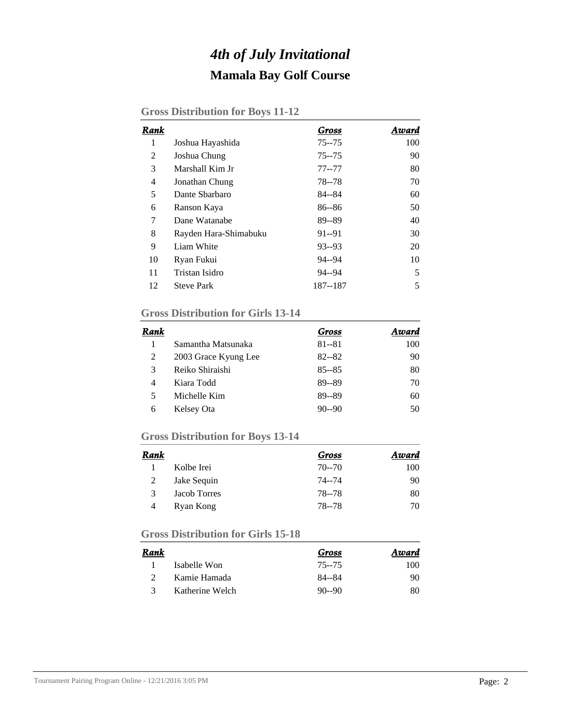## *4th of July Invitational* **Mamala Bay Golf Course**

|  | <b>Gross Distribution for Boys 11-12</b> |  |  |  |
|--|------------------------------------------|--|--|--|
|--|------------------------------------------|--|--|--|

| Rank |                       | Gross     | Award |
|------|-----------------------|-----------|-------|
| 1    | Joshua Hayashida      | $75 - 75$ | 100   |
| 2    | Joshua Chung          | $75 - 75$ | 90    |
| 3    | Marshall Kim Jr       | $77 - 77$ | 80    |
| 4    | Jonathan Chung        | 78 - - 78 | 70    |
| 5    | Dante Sharbaro        | 84--84    | 60    |
| 6    | Ranson Kaya           | $86 - 86$ | 50    |
| 7    | Dane Watanabe         | 89--89    | 40    |
| 8    | Rayden Hara-Shimabuku | $91 - 91$ | 30    |
| 9    | Liam White            | $93 - 93$ | 20    |
| 10   | Ryan Fukui            | 94--94    | 10    |
| 11   | Tristan Isidro        | $94 - 94$ | 5     |
| 12   | <b>Steve Park</b>     | 187--187  | 5     |

#### **Gross Distribution for Girls 13-14**

| Rank |                      | Gross     | Award |
|------|----------------------|-----------|-------|
|      | Samantha Matsunaka   | $81 - 81$ | 100   |
| 2    | 2003 Grace Kyung Lee | $82 - 82$ | 90    |
| 3    | Reiko Shiraishi      | $85 - 85$ | 80    |
| 4    | Kiara Todd           | 89--89    | 70    |
| 5    | Michelle Kim         | 89--89    | 60    |
| 6    | Kelsey Ota           | $90 - 90$ | 50    |

### **Gross Distribution for Boys 13-14**

| Rank |              | Gross     | Award |
|------|--------------|-----------|-------|
|      | Kolbe Irei   | $70 - 70$ | 100   |
|      | Jake Sequin  | 74--74    | 90    |
| 3    | Jacob Torres | 78--78    | 80    |
| 4    | Ryan Kong    | 78 - 78   | 70    |

### **Gross Distribution for Girls 15-18**

| Rank          |                 | Gross     | Award |
|---------------|-----------------|-----------|-------|
|               | Isabelle Won    | 75--75    | 100   |
|               | Kamie Hamada    | 84--84    | 90    |
| $\mathcal{R}$ | Katherine Welch | $90 - 90$ | 80    |